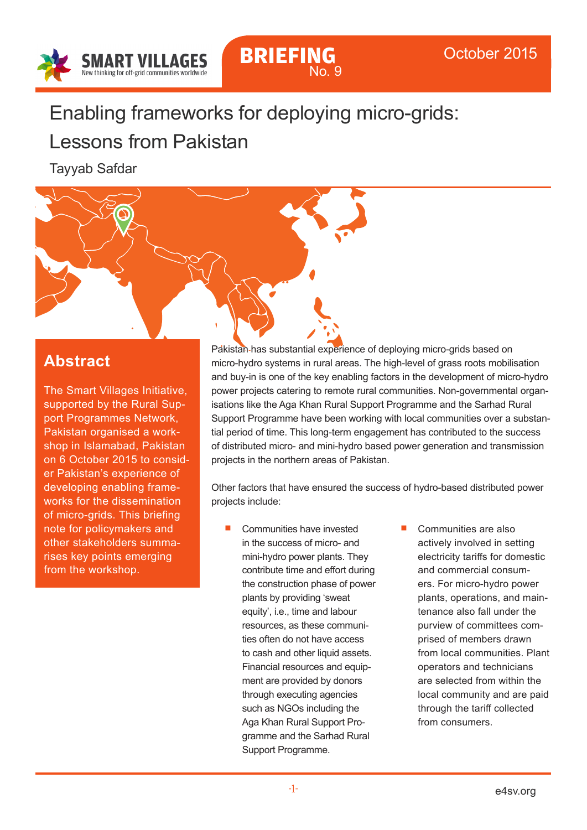

**BRIEFING**

No. 9

# Enabling frameworks for deploying micro-grids:

# Lessons from Pakistan

Tayyab Safdar

### **Abstract**

The Smart Villages Initiative, supported by the Rural Support Programmes Network, Pakistan organised a workshop in Islamabad, Pakistan on 6 October 2015 to consider Pakistan's experience of developing enabling frameworks for the dissemination of micro-grids. This briefing note for policymakers and other stakeholders summarises key points emerging from the workshop.

Pakistan has substantial experience of deploying micro-grids based on micro-hydro systems in rural areas. The high-level of grass roots mobilisation and buy-in is one of the key enabling factors in the development of micro-hydro power projects catering to remote rural communities. Non-governmental organisations like the Aga Khan Rural Support Programme and the Sarhad Rural Support Programme have been working with local communities over a substantial period of time. This long-term engagement has contributed to the success of distributed micro- and mini-hydro based power generation and transmission projects in the northern areas of Pakistan.

Other factors that have ensured the success of hydro-based distributed power projects include:

- Communities have invested in the success of micro- and mini-hydro power plants. They contribute time and effort during the construction phase of power plants by providing 'sweat equity', i.e., time and labour resources, as these communities often do not have access to cash and other liquid assets. Financial resources and equipment are provided by donors through executing agencies such as NGOs including the Aga Khan Rural Support Programme and the Sarhad Rural Support Programme.
- Communities are also actively involved in setting electricity tariffs for domestic and commercial consumers. For micro-hydro power plants, operations, and maintenance also fall under the purview of committees comprised of members drawn from local communities. Plant operators and technicians are selected from within the local community and are paid through the tariff collected from consumers.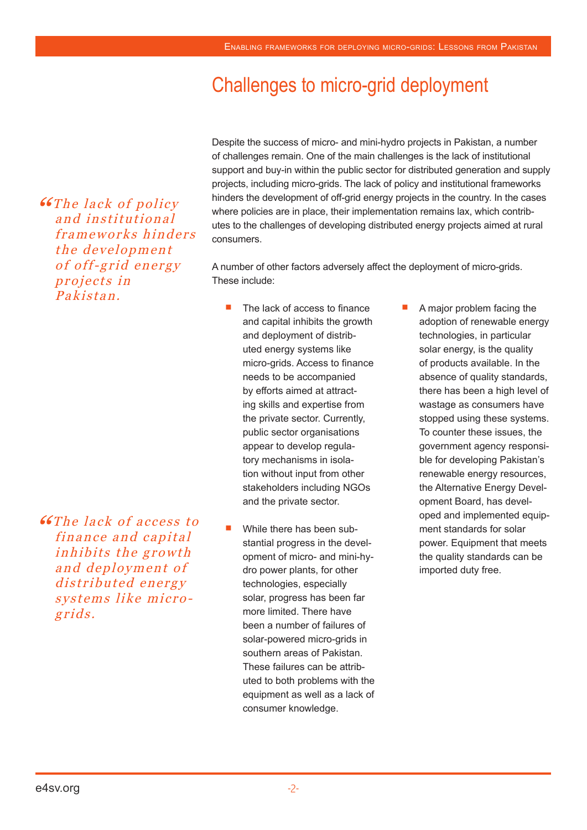# Challenges to micro-grid deployment

**"The lack of policy** and institutional frameworks hinders the development of off-grid energy projects in Pakistan.

**"Case of access to SET he lack of access to** finance and capital inhibits the growth and deployment of distributed energy systems like microgrids.

Despite the success of micro- and mini-hydro projects in Pakistan, a number of challenges remain. One of the main challenges is the lack of institutional support and buy-in within the public sector for distributed generation and supply projects, including micro-grids. The lack of policy and institutional frameworks hinders the development of off-grid energy projects in the country. In the cases where policies are in place, their implementation remains lax, which contributes to the challenges of developing distributed energy projects aimed at rural consumers.

A number of other factors adversely affect the deployment of micro-grids. These include:

- The lack of access to finance and capital inhibits the growth and deployment of distributed energy systems like micro-grids. Access to finance needs to be accompanied by efforts aimed at attracting skills and expertise from the private sector. Currently, public sector organisations appear to develop regulatory mechanisms in isolation without input from other stakeholders including NGOs and the private sector.
- While there has been substantial progress in the development of micro- and mini-hydro power plants, for other technologies, especially solar, progress has been far more limited. There have been a number of failures of solar-powered micro-grids in southern areas of Pakistan. These failures can be attributed to both problems with the equipment as well as a lack of consumer knowledge.
- A major problem facing the adoption of renewable energy technologies, in particular solar energy, is the quality of products available. In the absence of quality standards, there has been a high level of wastage as consumers have stopped using these systems. To counter these issues, the government agency responsible for developing Pakistan's renewable energy resources, the Alternative Energy Development Board, has developed and implemented equipment standards for solar power. Equipment that meets the quality standards can be imported duty free.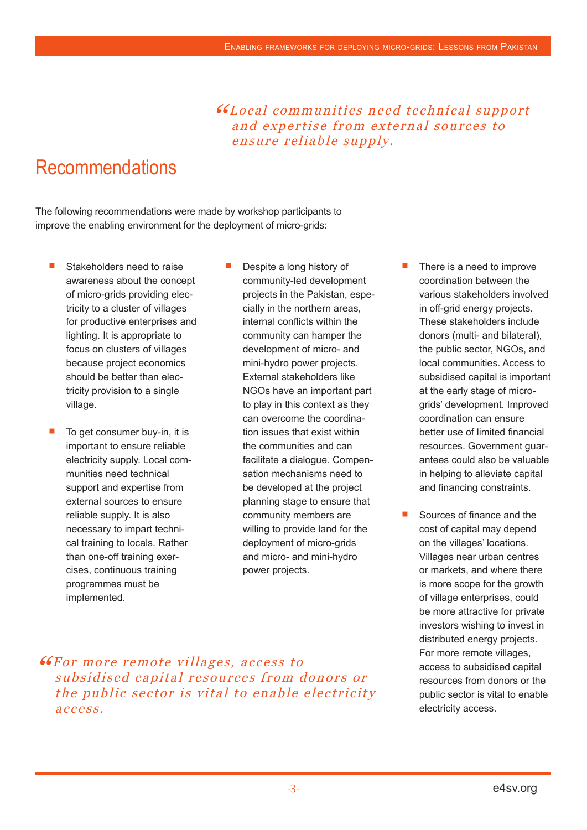"Local communities need technical support and expertise from external sources to ensure reliable supply.

## Recommendations

The following recommendations were made by workshop participants to improve the enabling environment for the deployment of micro-grids:

- Stakeholders need to raise awareness about the concept of micro-grids providing electricity to a cluster of villages for productive enterprises and lighting. It is appropriate to focus on clusters of villages because project economics should be better than electricity provision to a single village.
- To get consumer buy-in, it is important to ensure reliable electricity supply. Local communities need technical support and expertise from external sources to ensure reliable supply. It is also necessary to impart technical training to locals. Rather than one-off training exercises, continuous training programmes must be implemented.
- Despite a long history of community-led development projects in the Pakistan, especially in the northern areas, internal conflicts within the community can hamper the development of micro- and mini-hydro power projects. External stakeholders like NGOs have an important part to play in this context as they can overcome the coordination issues that exist within the communities and can facilitate a dialogue. Compensation mechanisms need to be developed at the project planning stage to ensure that community members are willing to provide land for the deployment of micro-grids and micro- and mini-hydro power projects.
- There is a need to improve coordination between the various stakeholders involved in off-grid energy projects. These stakeholders include donors (multi- and bilateral), the public sector, NGOs, and local communities. Access to subsidised capital is important at the early stage of microgrids' development. Improved coordination can ensure better use of limited financial resources. Government guarantees could also be valuable in helping to alleviate capital and financing constraints.
- Sources of finance and the cost of capital may depend on the villages' locations. Villages near urban centres or markets, and where there is more scope for the growth of village enterprises, could be more attractive for private investors wishing to invest in distributed energy projects. For more remote villages, access to subsidised capital resources from donors or the public sector is vital to enable electricity access.

"For more remote villages, access to subsidised capital resources from donors or the public sector is vital to enable electricity access.